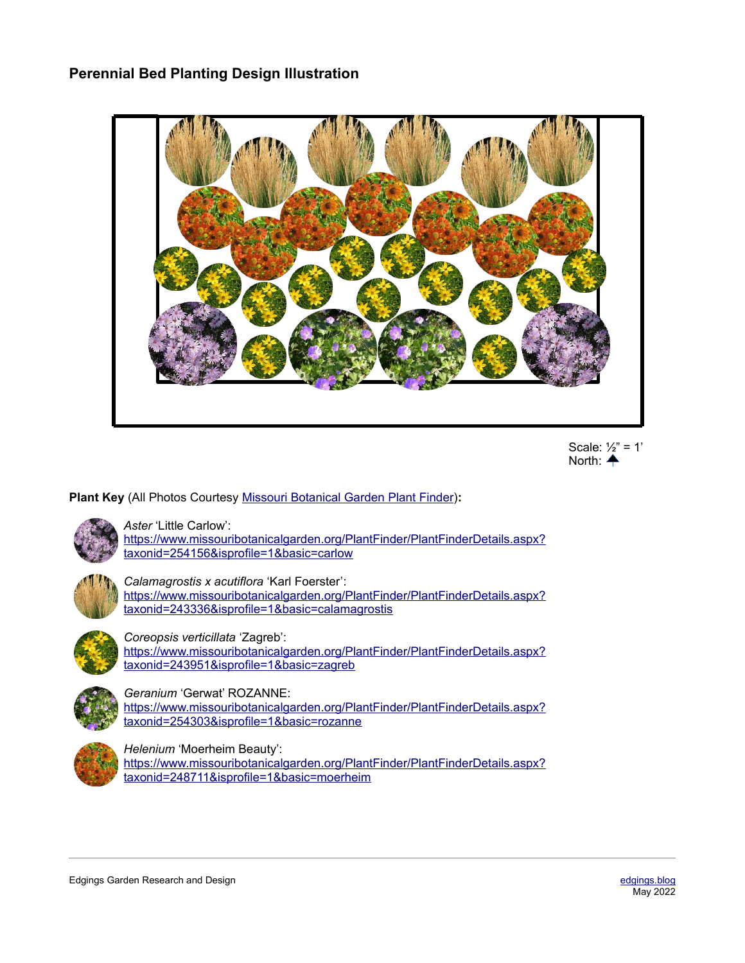## **Perennial Bed Planting Design Illustration**





**Plant Key** (All Photos Courtesy [Missouri Botanical Garden Plant Finder](http://www.missouribotanicalgarden.org/plantfinder/plantfindersearch.aspx))**:**



*Aster* 'Little Carlow':

[https://www.missouribotanicalgarden.org/PlantFinder/PlantFinderDetails.aspx?](https://www.missouribotanicalgarden.org/PlantFinder/PlantFinderDetails.aspx?taxonid=254156&isprofile=1&basic=carlow) [taxonid=254156&isprofile=1&basic=carlow](https://www.missouribotanicalgarden.org/PlantFinder/PlantFinderDetails.aspx?taxonid=254156&isprofile=1&basic=carlow)



*Calamagrostis x acutiflora* 'Karl Foerster': [https://www.missouribotanicalgarden.org/PlantFinder/PlantFinderDetails.aspx?](https://www.missouribotanicalgarden.org/PlantFinder/PlantFinderDetails.aspx?taxonid=243336&isprofile=1&basic=calamagrostis) [taxonid=243336&isprofile=1&basic=calamagrostis](https://www.missouribotanicalgarden.org/PlantFinder/PlantFinderDetails.aspx?taxonid=243336&isprofile=1&basic=calamagrostis)



*Coreopsis verticillata* 'Zagreb': [https://www.missouribotanicalgarden.org/PlantFinder/PlantFinderDetails.aspx?](https://www.missouribotanicalgarden.org/PlantFinder/PlantFinderDetails.aspx?taxonid=243951&isprofile=1&basic=zagreb) [taxonid=243951&isprofile=1&basic=zagreb](https://www.missouribotanicalgarden.org/PlantFinder/PlantFinderDetails.aspx?taxonid=243951&isprofile=1&basic=zagreb)



*Geranium* 'Gerwat' ROZANNE:

[https://www.missouribotanicalgarden.org/PlantFinder/PlantFinderDetails.aspx?](https://www.missouribotanicalgarden.org/PlantFinder/PlantFinderDetails.aspx?taxonid=254303&isprofile=1&basic=rozanne) [taxonid=254303&isprofile=1&basic=rozanne](https://www.missouribotanicalgarden.org/PlantFinder/PlantFinderDetails.aspx?taxonid=254303&isprofile=1&basic=rozanne)



*Helenium* 'Moerheim Beauty':

[https://www.missouribotanicalgarden.org/PlantFinder/PlantFinderDetails.aspx?](https://www.missouribotanicalgarden.org/PlantFinder/PlantFinderDetails.aspx?taxonid=248711&isprofile=1&basic=moerheim) [taxonid=248711&isprofile=1&basic=moerheim](https://www.missouribotanicalgarden.org/PlantFinder/PlantFinderDetails.aspx?taxonid=248711&isprofile=1&basic=moerheim)